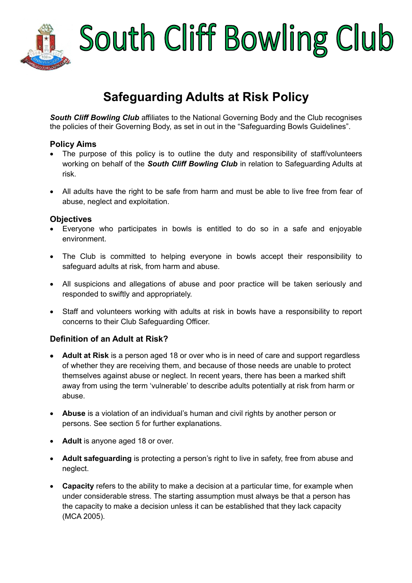

# South Cliff Bowling Club

### **Safeguarding Adults at Risk Policy**

**South Cliff Bowling Club** affiliates to the National Governing Body and the Club recognises the policies of their Governing Body, as set in out in the "Safeguarding Bowls Guidelines".

#### **Policy Aims**

- The purpose of this policy is to outline the duty and responsibility of staff/volunteers working on behalf of the *South Cliff Bowling Club* in relation to Safeguarding Adults at risk.
- All adults have the right to be safe from harm and must be able to live free from fear of abuse, neglect and exploitation.

#### **Objectives**

- Everyone who participates in bowls is entitled to do so in a safe and enjoyable environment.
- The Club is committed to helping everyone in bowls accept their responsibility to safeguard adults at risk, from harm and abuse.
- All suspicions and allegations of abuse and poor practice will be taken seriously and responded to swiftly and appropriately.
- Staff and volunteers working with adults at risk in bowls have a responsibility to report concerns to their Club Safeguarding Officer.

#### **Definition of an Adult at Risk?**

- **Adult at Risk** is a person aged 18 or over who is in need of care and support regardless of whether they are receiving them, and because of those needs are unable to protect themselves against abuse or neglect. In recent years, there has been a marked shift away from using the term 'vulnerable' to describe adults potentially at risk from harm or abuse.
- **Abuse** is a violation of an individual's human and civil rights by another person or persons. See section 5 for further explanations.
- **Adult** is anyone aged 18 or over.
- **Adult safeguarding** is protecting a person's right to live in safety, free from abuse and neglect.
- **Capacity** refers to the ability to make a decision at a particular time, for example when under considerable stress. The starting assumption must always be that a person has the capacity to make a decision unless it can be established that they lack capacity (MCA 2005).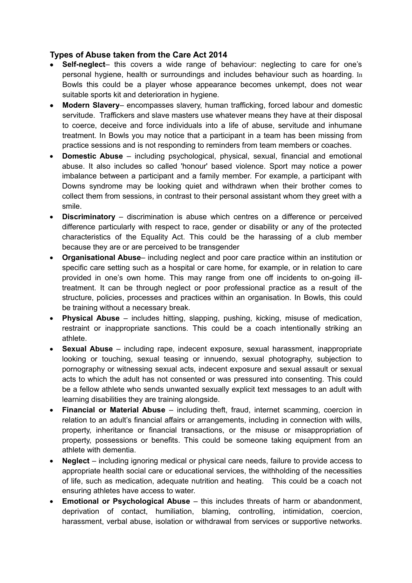#### **Types of Abuse taken from the Care Act 2014**

- **Self-neglect** this covers a wide range of behaviour: neglecting to care for one's personal hygiene, health or surroundings and includes behaviour such as hoarding. In Bowls this could be a player whose appearance becomes unkempt, does not wear suitable sports kit and deterioration in hygiene.
- **Modern Slavery** encompasses slavery, human trafficking, forced labour and domestic servitude. Traffickers and slave masters use whatever means they have at their disposal to coerce, deceive and force individuals into a life of abuse, servitude and inhumane treatment. In Bowls you may notice that a participant in a team has been missing from practice sessions and is not responding to reminders from team members or coaches.
- **Domestic Abuse**  including psychological, physical, sexual, financial and emotional abuse. It also includes so called 'honour' based violence. Sport may notice a power imbalance between a participant and a family member. For example, a participant with Downs syndrome may be looking quiet and withdrawn when their brother comes to collect them from sessions, in contrast to their personal assistant whom they greet with a smile.
- **Discriminatory**  discrimination is abuse which centres on a difference or perceived difference particularly with respect to race, gender or disability or any of the protected characteristics of the Equality Act. This could be the harassing of a club member because they are or are perceived to be transgender
- **Organisational Abuse** including neglect and poor care practice within an institution or specific care setting such as a hospital or care home, for example, or in relation to care provided in one's own home. This may range from one off incidents to on-going illtreatment. It can be through neglect or poor professional practice as a result of the structure, policies, processes and practices within an organisation. In Bowls, this could be training without a necessary break.
- **Physical Abuse**  includes hitting, slapping, pushing, kicking, misuse of medication, restraint or inappropriate sanctions. This could be a coach intentionally striking an athlete.
- **Sexual Abuse**  including rape, indecent exposure, sexual harassment, inappropriate looking or touching, sexual teasing or innuendo, sexual photography, subjection to pornography or witnessing sexual acts, indecent exposure and sexual assault or sexual acts to which the adult has not consented or was pressured into consenting. This could be a fellow athlete who sends unwanted sexually explicit text messages to an adult with learning disabilities they are training alongside.
- **Financial or Material Abuse**  including theft, fraud, internet scamming, coercion in relation to an adult's financial affairs or arrangements, including in connection with wills, property, inheritance or financial transactions, or the misuse or misappropriation of property, possessions or benefits. This could be someone taking equipment from an athlete with dementia.
- **Neglect**  including ignoring medical or physical care needs, failure to provide access to appropriate health social care or educational services, the withholding of the necessities of life, such as medication, adequate nutrition and heating. This could be a coach not ensuring athletes have access to water.
- **Emotional or Psychological Abuse**  this includes threats of harm or abandonment, deprivation of contact, humiliation, blaming, controlling, intimidation, coercion, harassment, verbal abuse, isolation or withdrawal from services or supportive networks.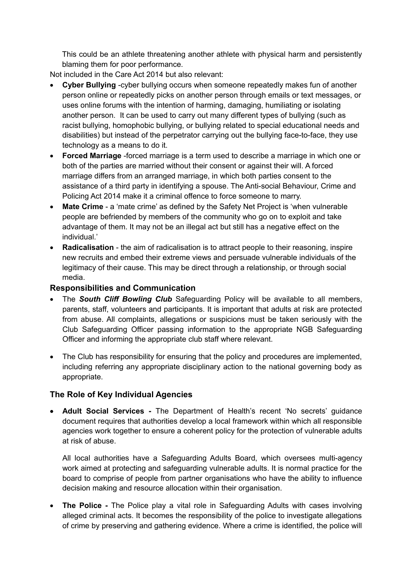This could be an athlete threatening another athlete with physical harm and persistently blaming them for poor performance.

Not included in the Care Act 2014 but also relevant:

- **Cyber Bullying** -cyber bullying occurs when someone repeatedly makes fun of another person online or repeatedly picks on another person through emails or text messages, or uses online forums with the intention of harming, damaging, humiliating or isolating another person. It can be used to carry out many different types of bullying (such as racist bullying, homophobic bullying, or bullying related to special educational needs and disabilities) but instead of the perpetrator carrying out the bullying face-to-face, they use technology as a means to do it.
- **Forced Marriage** -forced marriage is a term used to describe a marriage in which one or both of the parties are married without their consent or against their will. A forced marriage differs from an arranged marriage, in which both parties consent to the assistance of a third party in identifying a spouse. The Anti-social Behaviour, Crime and Policing Act 2014 make it a criminal offence to force someone to marry.
- **Mate Crime**  a 'mate crime' as defined by the Safety Net Project is 'when vulnerable people are befriended by members of the community who go on to exploit and take advantage of them. It may not be an illegal act but still has a negative effect on the individual.'
- **Radicalisation** the aim of radicalisation is to attract people to their reasoning, inspire new recruits and embed their extreme views and persuade vulnerable individuals of the legitimacy of their cause. This may be direct through a relationship, or through social media.

#### **Responsibilities and Communication**

- The **South Cliff Bowling Club** Safeguarding Policy will be available to all members, parents, staff, volunteers and participants. It is important that adults at risk are protected from abuse. All complaints, allegations or suspicions must be taken seriously with the Club Safeguarding Officer passing information to the appropriate NGB Safeguarding Officer and informing the appropriate club staff where relevant.
- The Club has responsibility for ensuring that the policy and procedures are implemented, including referring any appropriate disciplinary action to the national governing body as appropriate.

#### **The Role of Key Individual Agencies**

 **Adult Social Services -** The Department of Health's recent 'No secrets' guidance document requires that authorities develop a local framework within which all responsible agencies work together to ensure a coherent policy for the protection of vulnerable adults at risk of abuse.

All local authorities have a Safeguarding Adults Board, which oversees multi-agency work aimed at protecting and safeguarding vulnerable adults. It is normal practice for the board to comprise of people from partner organisations who have the ability to influence decision making and resource allocation within their organisation.

• The Police - The Police play a vital role in Safeguarding Adults with cases involving alleged criminal acts. It becomes the responsibility of the police to investigate allegations of crime by preserving and gathering evidence. Where a crime is identified, the police will